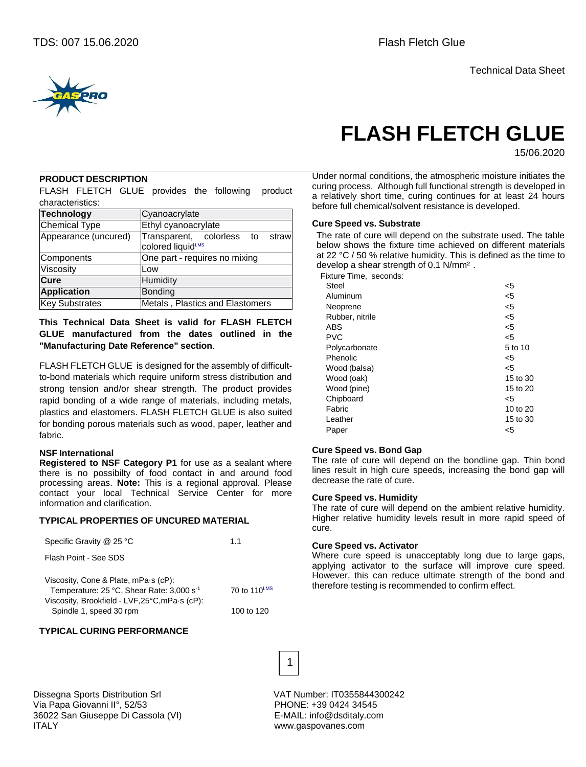

# **FLASH FLETCH GLUE**

15/06.2020

#### **PRODUCT DESCRIPTION**

FLASH FLETCH GLUE provides the following product characteristics:

| <b>Technology</b>     | Cyanoacrylate                                           |  |  |  |  |
|-----------------------|---------------------------------------------------------|--|--|--|--|
| <b>Chemical Type</b>  | Ethyl cyanoacrylate                                     |  |  |  |  |
| Appearance (uncured)  | Transparent, colorless to<br>straw<br>colored liquidLMS |  |  |  |  |
| Components            | One part - requires no mixing                           |  |  |  |  |
| Viscosity             | Low                                                     |  |  |  |  |
| Cure                  | Humidity                                                |  |  |  |  |
| <b>Application</b>    | <b>Bonding</b>                                          |  |  |  |  |
| <b>Key Substrates</b> | Metals, Plastics and Elastomers                         |  |  |  |  |

**This Technical Data Sheet is valid for FLASH FLETCH GLUE manufactured from the dates outlined in the "Manufacturing Date Reference" section**.

FLASH FLETCH GLUE is designed for the assembly of difficultto-bond materials which require uniform stress distribution and strong tension and/or shear strength. The product provides rapid bonding of a wide range of materials, including metals, plastics and elastomers. FLASH FLETCH GLUE is also suited for bonding porous materials such as wood, paper, leather and fabric.

#### **NSF International**

**Registered to NSF Category P1** for use as a sealant where there is no possibilty of food contact in and around food processing areas. **Note:** This is a regional approval. Please contact your local Technical Service Center for more information and clarification.

#### **TYPICAL PROPERTIES OF UNCURED MATERIAL**

| Specific Gravity @ 25 °C                                                                      | 11           |
|-----------------------------------------------------------------------------------------------|--------------|
| Flash Point - See SDS                                                                         |              |
| Viscosity, Cone & Plate, mPa.s (cP):<br>Temperature: 25 °C, Shear Rate: 3,000 s <sup>-1</sup> | 70 to 110LMS |
| Viscosity, Brookfield - LVF,25°C,mPa·s (cP):<br>Spindle 1, speed 30 rpm                       | 100 to 120   |

Under normal conditions, the atmospheric moisture initiates the curing process. Although full functional strength is developed in a relatively short time, curing continues for at least 24 hours before full chemical/solvent resistance is developed.

#### **Cure Speed vs. Substrate**

The rate of cure will depend on the substrate used. The table below shows the fixture time achieved on different materials at 22 °C / 50 % relative humidity. This is defined as the time to develop a shear strength of 0.1 N/mm² .

Fixture Time, seconds:

| Steel           | <5       |
|-----------------|----------|
| Aluminum        | $<$ 5    |
| Neoprene        | $<$ 5    |
| Rubber, nitrile | $<$ 5    |
| <b>ABS</b>      | $<$ 5    |
| <b>PVC</b>      | $<$ 5    |
| Polycarbonate   | 5 to 10  |
| Phenolic        | <5       |
| Wood (balsa)    | $5$      |
| Wood (oak)      | 15 to 30 |
| Wood (pine)     | 15 to 20 |
| Chipboard       | $<$ 5    |
| Fabric          | 10 to 20 |
| Leather         | 15 to 30 |
| Paper           | <5       |
|                 |          |

#### **Cure Speed vs. Bond Gap**

The rate of cure will depend on the bondline gap. Thin bond lines result in high cure speeds, increasing the bond gap will decrease the rate of cure.

#### **Cure Speed vs. Humidity**

The rate of cure will depend on the ambient relative humidity. Higher relative humidity levels result in more rapid speed of cure.

#### **Cure Speed vs. Activator**

Where cure speed is unacceptably long due to large gaps, applying activator to the surface will improve cure speed. However, this can reduce ultimate strength of the bond and therefore testing is recommended to confirm effect.

**TYPICAL CURING PERFORMANCE**

Via Papa Giovanni II°, 52/53 PHONE: +39 0424 34545 36022 San Giuseppe Di Cassola (VI) E-MAIL: info@dsditaly.com ITALY www.gaspovanes.com

Dissegna Sports Distribution Srl VAT Number: IT0355844300242

1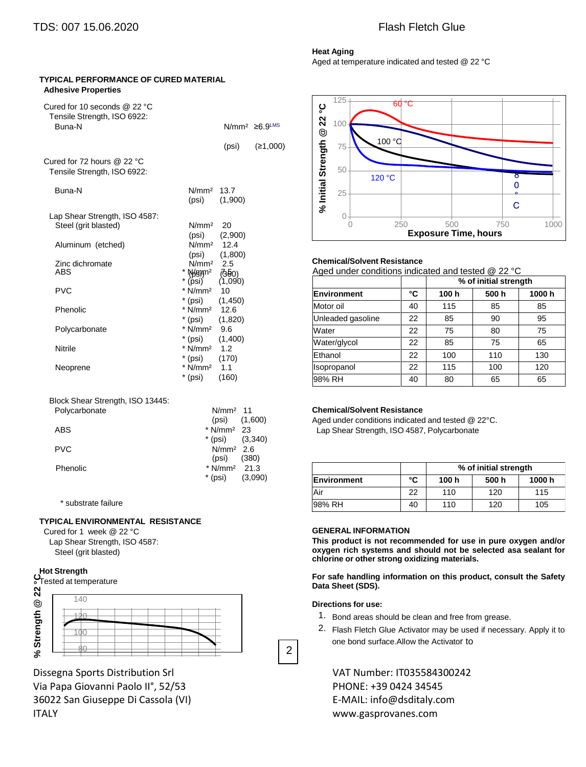**TYPICAL PERFORMANCE OF CURED MATERIAL**

### **Heat Aging**

Aged at temperature indicated and tested @ 22 °C

#### **Adhesive Properties** Cured for 10 seconds @ 22 °C Tensile Strength, ISO 6922: Buna-N N/mm<sup>2</sup> ≥6.9<sup>LMS</sup> Cured for 72 hours @ 22 °C Tensile Strength, ISO 6922: (psi) (≥1,000) Buna-N N/mm² 13.7 (psi) (1,900) Lap Shear Strength, ISO 4587: 125 100 50 25  $0 +$ **% Initial Strength @ 22 °C** Steel (grit blasted) N/mm<sup>2</sup> 20 (psi) (2,900) Aluminum (etched) N/mm² 12.4 (psi) (1,800) Zinc dichromate  $N/mm^2$  2.5<br>ABS \* Manm<sup>2</sup> 75  $\begin{array}{rcl} \star \ \textsf{Wgym^2} & \textsf{\small (360)} \ \textsf{A}\textsf{9} & \textsf{1} & \textsf{1} & \textsf{1} \ \textsf{A}\textsf{9} & \textsf{1} & \textsf{1} & \textsf{1} \ \textsf{A}\textsf{9} & \textsf{1} & \textsf{1} & \textsf{1} \ \textsf{1} & \textsf{1} & \textsf{1} & \textsf{1} \ \textsf{1} & \textsf{1} & \textsf{1} & \textsf{1} \ \textsf{1} & \textsf{1} & \textsf{1} & \textsf{1} \ \textsf{$  $(1,090)$ PVC \* N/mm<sup>2</sup> 10 \* (psi) (1,450) Phenolic  $*$  N/mm<sup>2</sup> 12.6 \* (psi) (1,820) Polycarbonate \* N/mm<sup>2</sup> 9.6 \* (psi) (1,400) Nitrile  $N/mm^2$  1.2

\* (psi) (170)<br>\* N/mm<sup>2</sup> 1.1

\* (psi) (160)

Neoprene \* N/mm<sup>2</sup> 1.1

Block Shear Strength, ISO 13445:

| Polycarbonate | N/mm <sup>2</sup> 11     |                   |  |
|---------------|--------------------------|-------------------|--|
|               |                          | $(psi)$ $(1,600)$ |  |
| <b>ABS</b>    | $*$ N/mm <sup>2</sup> 23 |                   |  |
|               | * (psi) $(3,340)$        |                   |  |
| <b>PVC</b>    | $N/mm2$ 2.6              |                   |  |
|               | (psi)                    | (380)             |  |
| Phenolic      | * $N/mm^2$ 21.3          |                   |  |
|               | * (psi)                  | (3,090)           |  |
|               |                          |                   |  |

\* substrate failure

#### **TYPICAL ENVIRONMENTAL RESISTANCE**

Cured for 1 week @ 22 °C Lap Shear Strength, ISO 4587: Steel (grit blasted)

#### **Hot Strength**

**%**ີທ

80

| $S$ <sub>Tested at temperature</sub> |  |  |  |  |
|--------------------------------------|--|--|--|--|
| 140                                  |  |  |  |  |
|                                      |  |  |  |  |
|                                      |  |  |  |  |

Dissegna Sports Distribution Srl VAT Number: IT035584300242 Via Papa Giovanni Paolo II°, 52/53 PHONE: +39 0424 34545 36022 San Giuseppe Di Cassola (VI) E-MAIL: info@dsditaly.com ITALY www.gasprovanes.com



#### **Chemical/Solvent Resistance**

|                   |    | % of initial strength |      |       |  |
|-------------------|----|-----------------------|------|-------|--|
| Environment       | °C | 100h                  | 500h | 1000h |  |
| Motor oil         | 40 | 115                   | 85   | 85    |  |
| Unleaded gasoline | 22 | 85                    | 90   | 95    |  |
| Water             | 22 | 75                    | 80   | 75    |  |
| Water/glycol      | 22 | 85                    | 75   | 65    |  |
| Ethanol           | 22 | 100                   | 110  | 130   |  |
| Isopropanol       | 22 | 115                   | 100  | 120   |  |
| 98% RH            | 40 | 80                    | 65   | 65    |  |

#### **Chemical/Solvent Resistance**

Aged under conditions indicated and tested @ 22°C. Lap Shear Strength, ISO 4587, Polycarbonate

|                    |    | % of initial strength |       |       |  |
|--------------------|----|-----------------------|-------|-------|--|
| <b>Environment</b> | °C | 100 h                 | 500 h | 1000h |  |
| Air                | 22 | 110                   | 120   | 115   |  |
| 98% RH             | 40 | 110                   | 120   | 105   |  |

#### **GENERAL INFORMATION**

**This product is not recommended for use in pure oxygen and/or oxygen rich systems and should not be selected asa sealant for chlorine or other strong oxidizing materials.**

**For safe handling information on this product, consult the Safety Data Sheet (SDS).**

#### **Directions for use:**

2

- 1. Bond areas should be clean and free from grease.
- 2. Flash Fletch Glue Activator may be used if necessary. Apply it to one bond surface.Allow the Activator to